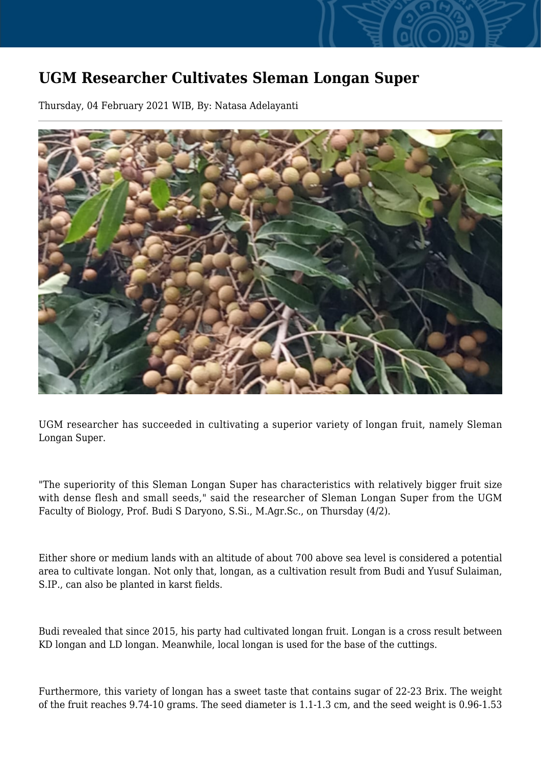## **UGM Researcher Cultivates Sleman Longan Super**

Thursday, 04 February 2021 WIB, By: Natasa Adelayanti



UGM researcher has succeeded in cultivating a superior variety of longan fruit, namely Sleman Longan Super.

"The superiority of this Sleman Longan Super has characteristics with relatively bigger fruit size with dense flesh and small seeds," said the researcher of Sleman Longan Super from the UGM Faculty of Biology, Prof. Budi S Daryono, S.Si., M.Agr.Sc., on Thursday (4/2).

Either shore or medium lands with an altitude of about 700 above sea level is considered a potential area to cultivate longan. Not only that, longan, as a cultivation result from Budi and Yusuf Sulaiman, S.IP., can also be planted in karst fields.

Budi revealed that since 2015, his party had cultivated longan fruit. Longan is a cross result between KD longan and LD longan. Meanwhile, local longan is used for the base of the cuttings.

Furthermore, this variety of longan has a sweet taste that contains sugar of 22-23 Brix. The weight of the fruit reaches 9.74-10 grams. The seed diameter is 1.1-1.3 cm, and the seed weight is 0.96-1.53